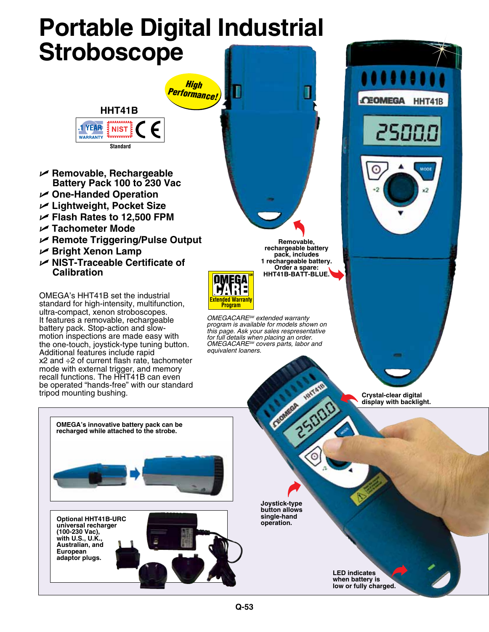# **Portable Digital Industrial Stroboscope**

*High* 



- U **Removable, Rechargeable Battery Pack 100 to 230 Vac**
- U **One-Handed Operation**
- U **Lightweight, Pocket Size**
- U **Flash Rates to 12,500 FPM**
- U **Tachometer Mode**
- U **Remote Triggering/Pulse Output**
- U **Bright Xenon Lamp**
- U **NIST-Traceable Certificate of Calibration**

OMEGA's HHT41B set the industrial standard for high-intensity, multifunction, ultra-compact, xenon stroboscopes. It features a removable, rechargeable battery pack. Stop-action and slowmotion inspections are made easy with the one-touch, joystick-type tuning button. Additional features include rapid x2 and ÷2 of current flash rate, tachometer mode with external trigger, and memory recall functions. The HHT41B can even be operated "hands-free" with our standard tripod mounting bushing.

> **OMEGA's innovative battery pack can be recharged while attached to the strobe.**

**Removable, rechargeable battery pack, includes 1 rechargeable battery. Order a spare: HHT41B-BATT-BLUE.**

J



*OMEGACARESM extended warranty program is available for models shown on this page. Ask your sales respresentative for full details when placing an order. OMEGACARESM covers parts, labor and equivalent loaners.*



**Crystal-clear digital display with backlight.**

**universal recharger (100-230 Vac), with U.S., U.K., Australian, and European adaptor plugs.**

**Optional HHT41B-URC** 

**Joystick-type button allows single-hand operation.**

> **LED indicates when battery is low or fully charged.**